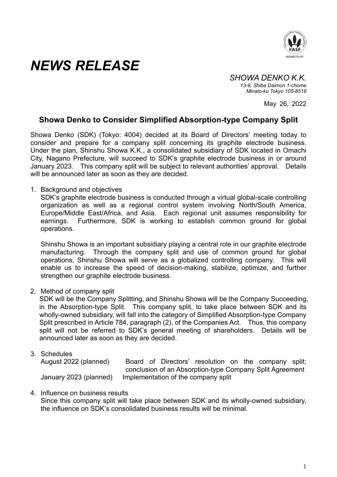

## *NEWS RELEASE*

*SHOWA DENKO K.K. 13-9, Shiba Daimon 1-chome Minato-ku Tokyo 105-8518* 

May 26, 2022

## **Showa Denko to Consider Simplified Absorption-type Company Split**

Showa Denko (SDK) (Tokyo: 4004) decided at its Board of Directors' meeting today to consider and prepare for a company split concerning its graphite electrode business. Under the plan, Shinshu Showa K.K., a consolidated subsidiary of SDK located in Omachi City, Nagano Prefecture, will succeed to SDK's graphite electrode business in or around January 2023. This company split will be subject to relevant authorities' approval. Details will be announced later as soon as they are decided.

1. Background and objectives

SDK's graphite electrode business is conducted through a virtual global-scale controlling organization as well as a regional control system involving North/South America, Europe/Middle East/Africa, and Asia. Each regional unit assumes responsibility for earnings. Furthermore, SDK is working to establish common ground for global operations.

Shinshu Showa is an important subsidiary playing a central role in our graphite electrode manufacturing. Through the company split and use of common ground for global operations, Shinshu Showa will serve as a globalized controlling company. This will enable us to increase the speed of decision-making, stabilize, optimize, and further strengthen our graphite electrode business.

2. Method of company split

SDK will be the Company Splitting, and Shinshu Showa will be the Company Succeeding, in the Absorption-type Split. This company split, to take place between SDK and its wholly-owned subsidiary, will fall into the category of Simplified Absorption-type Company Split prescribed in Article 784, paragraph (2), of the Companies Act. Thus, this company split will not be referred to SDK's general meeting of shareholders. Details will be announced later as soon as they are decided.

3. Schedules

August 2022 (planned) Board of Directors' resolution on the company split; conclusion of an Absorption-type Company Split Agreement January 2023 (planned) Implementation of the company split

4. Influence on business results

Since this company split will take place between SDK and its wholly-owned subsidiary, the influence on SDK's consolidated business results will be minimal.